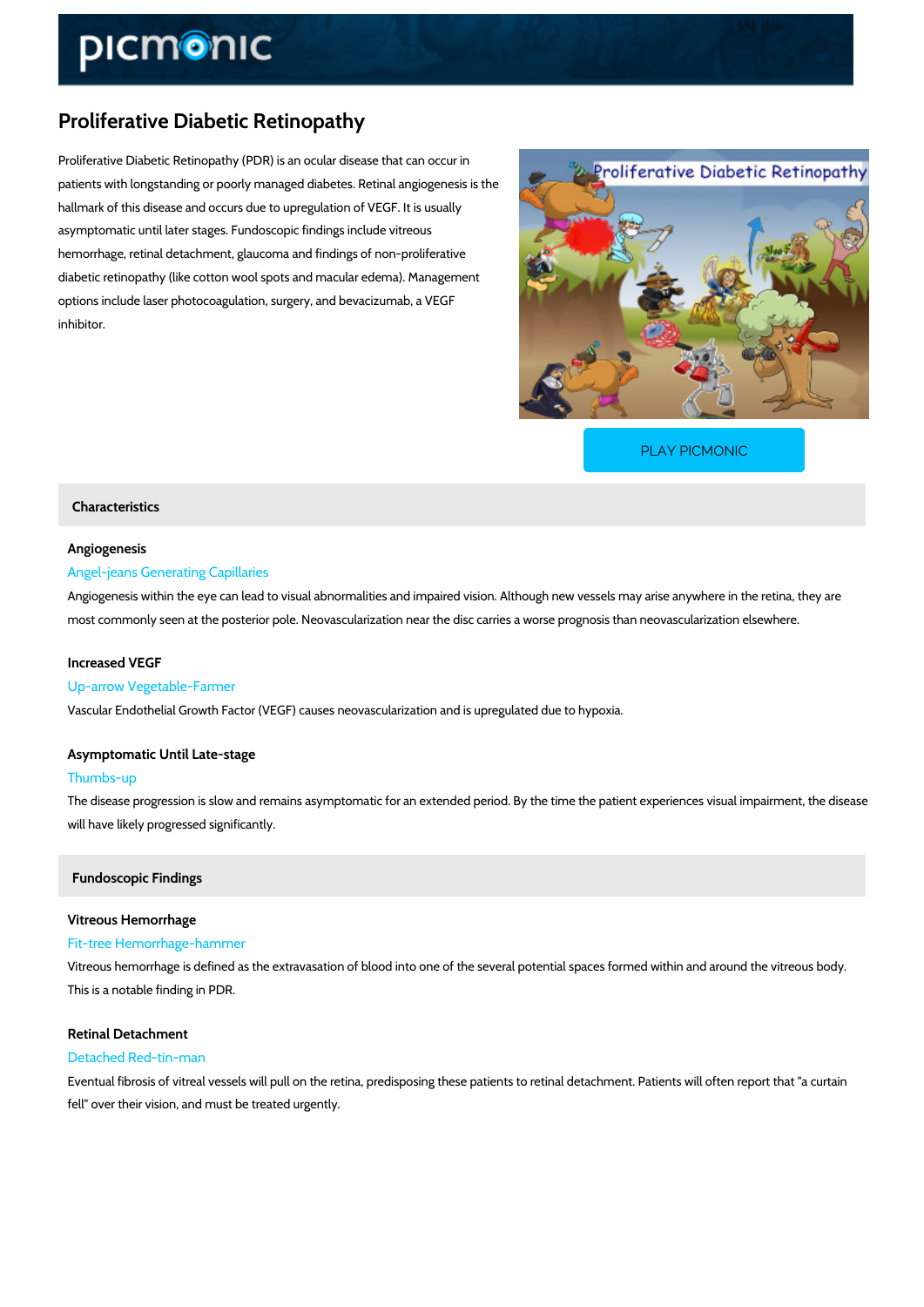# Proliferative Diabetic Retinopathy

Proliferative Diabetic Retinopathy (PDR) is an ocular disease that can occur in patients with longstanding or poorly managed diabetes. Retinal angiogenesis is the hallmark of this disease and occurs due to upregulation of VEGF. It is usually asymptomatic until later stages. Fundoscopic findings include vitreous hemorrhage, retinal detachment, glaucoma and findings of non-proliferative diabetic retinopathy (like cotton wool spots and macular edema). Management options include laser photocoagulation, surgery, and bevacizumab, a VEGF inhibitor.

[PLAY PICMONIC](https://www.picmonic.com/learn/proliferative-diabetic-retinopathy_50343?utm_source=downloadable_content&utm_medium=distributedcontent&utm_campaign=pathways_pdf&utm_content=Proliferative Diabetic Retinopathy&utm_ad_group=leads&utm_market=all)

# Characteristics

## Angiogenesis

### Angel-jeans Generating Capillaries

Angiogenesis within the eye can lead to visual abnormalities and impaired vision. Although ne most commonly seen at the posterior pole. Neovascularization near the disc carries a worse p

#### Increased VEGF

### Up-arrow Vegetable-Farmer

Vascular Endothelial Growth Factor (VEGF) causes neovascularization and is upregulated due

# Asymptomatic Until Late-stage

#### Thumbs-up

The disease progression is slow and remains asymptomatic for an extended period. By the tim will have likely progressed significantly.

### Fundoscopic Findings

# Vitreous Hemorrhage Fit-tree Hemorrhage-hammer

Vitreous hemorrhage is defined as the extravasation of blood into one of the several potential This is a notable finding in PDR.

# Retinal Detachment

### Detached Red-tin-man

Eventual fibrosis of vitreal vessels will pull on the retina, predisposing these patients to reti fell" over their vision, and must be treated urgently.